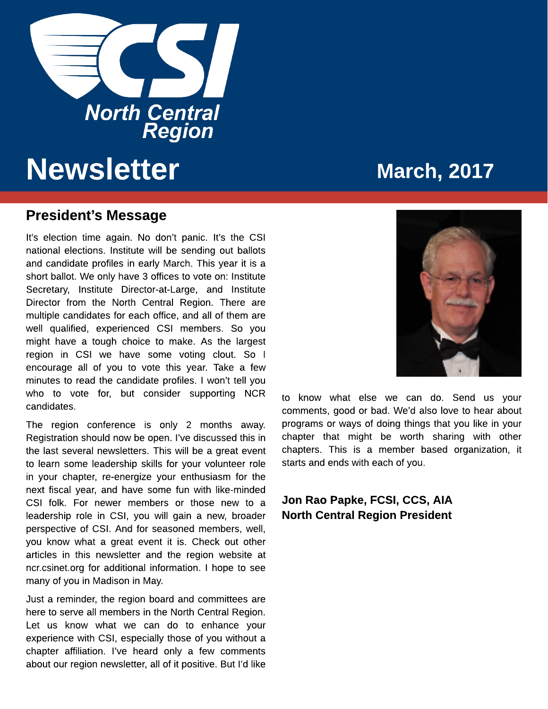

# Newsletter March, 2017

#### President?s Message

It's election time again. No don't panic. It's the CSI national elections. Institute will be sending out ballots and candidate profiles in early March. This year it is a short ballot. We only have 3 offices to vote on: Institute Secretary, Institute Director-at-Large, and Institute Director from the North Central Region. There are multiple candidates for each office, and all of them are well qualified, experienced CSI members. So you might have a tough choice to make. As the largest region in CSI we have some voting clout. So I encourage all of you to vote this year. Take a few minutes to read the candidate profiles. I won?t tell you who to vote for, but consider supporting NCR candidates.

The region conference is only 2 months away. Registration should now be open. I?ve discussed this in the last several newsletters. This will be a great event to learn some leadership skills for your volunteer role in your chapter, re-energize your enthusiasm for the next fiscal year, and have some fun with like-minded CSI folk. For newer members or those new to a leadership role in CSI, you will gain a new, broader perspective of CSI. And for seasoned members, well, you know what a great event it is. Check out other articles in this newsletter and the region website at ncr.csinet.org for additional information. I hope to see many of you in Madison in May.

Just a reminder, the region board and committees are here to serve all members in the North Central Region. Let us know what we can do to enhance your experience with CSI, especially those of you without a chapter affiliation. I've heard only a few comments about our region newsletter, all of it positive. But I'd like



to know what else we can do. Send us your comments, good or bad. We?d also love to hear about programs or ways of doing things that you like in your chapter that might be worth sharing with other chapters. This is a member based organization, it starts and ends with each of you.

#### Jon Rao Papke, FCSI, CCS, AIA North Central Region President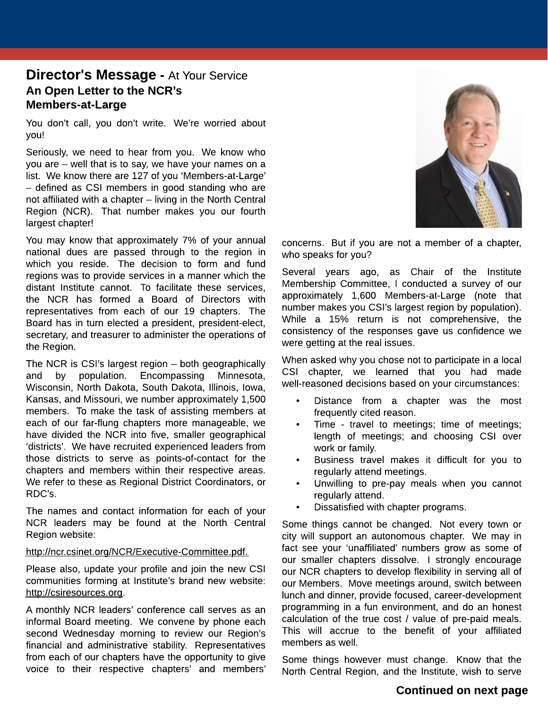### **Director's Message - At Your Service** An Open Letter to the NCR?s Members-at-Large

You don't call, you don't write. We're worried about you!

Seriously, we need to hear from you. We know who you are - well that is to say, we have your names on a list. We know there are 127 of you 'Members-at-Large' - defined as CSI members in good standing who are not affiliated with a chapter  $-$  living in the North Central Region (NCR). That number makes you our fourth largest chapter!

You may know that approximately 7% of your annual national dues are passed through to the region in which you reside. The decision to form and fund regions was to provide services in a manner which the distant Institute cannot. To facilitate these services, the NCR has formed a Board of Directors with representatives from each of our 19 chapters. The Board has in turn elected a president, president-elect, secretary, and treasurer to administer the operations of the Region.

The NCR is CSI's largest region  $-$  both geographically and by population. Encompassing Minnesota, Wisconsin, North Dakota, South Dakota, Illinois, Iowa, Kansas, and Missouri, we number approximately 1,500 members. To make the task of assisting members at each of our far-flung chapters more manageable, we have divided the NCR into five, smaller geographical 'districts'. We have recruited experienced leaders from those districts to serve as points-of-contact for the chapters and members within their respective areas. We refer to these as Regional District Coordinators, or RDC?s.

The names and contact information for each of your NCR leaders may be found at the North Central Region website:

#### [http://ncr.csinet.org/NCR/Executive-Committee.pdf.](http://ncr.csinet.org/NCR/Executive-Committee.pdf)

Please also, update your profile and join the new CSI communities forming at Institute?s brand new website: <http://csiresources.org>.

A monthly NCR leaders' conference call serves as an informal Board meeting. We convene by phone each second Wednesday morning to review our Region's financial and administrative stability. Representatives from each of our chapters have the opportunity to give voice to their respective chapters? and members?



concerns. But if you are not a member of a chapter, who speaks for you?

Several years ago, as Chair of the Institute Membership Committee, I conducted a survey of our approximately 1,600 Members-at-Large (note that number makes you CSI?s largest region by population). While a 15% return is not comprehensive, the consistency of the responses gave us confidence we were getting at the real issues.

When asked why you chose not to participate in a local CSI chapter, we learned that you had made well-reasoned decisions based on your circumstances:

- Distance from a chapter was the most frequently cited reason.
- Time travel to meetings; time of meetings; length of meetings; and choosing CSI over work or family.
- Business travel makes it difficult for you to regularly attend meetings.
- Unwilling to pre-pay meals when you cannot regularly attend.
- Dissatisfied with chapter programs.

Some things cannot be changed. Not every town or city will support an autonomous chapter. We may in fact see your 'unaffiliated' numbers grow as some of our smaller chapters dissolve. I strongly encourage our NCR chapters to develop flexibility in serving all of our Members. Move meetings around, switch between lunch and dinner, provide focused, career-development programming in a fun environment, and do an honest calculation of the true cost / value of pre-paid meals. This will accrue to the benefit of your affiliated members as well.

Some things however must change. Know that the North Central Region, and the Institute, wish to serve

#### Continued on next page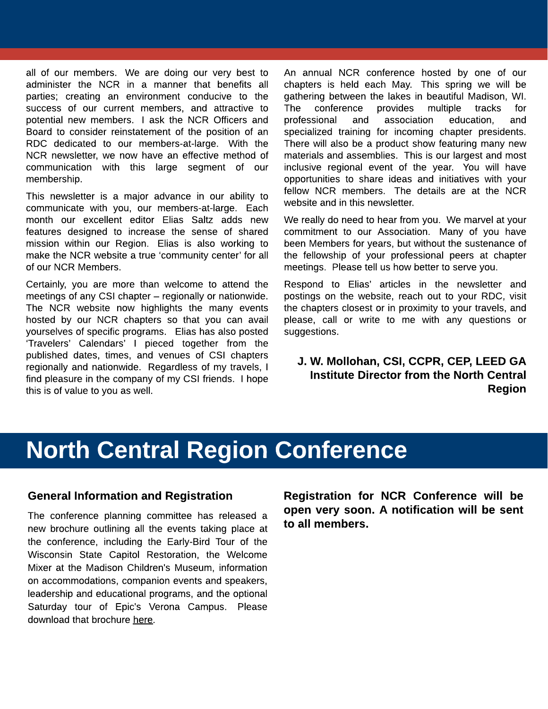all of our members. We are doing our very best to administer the NCR in a manner that benefits all parties; creating an environment conducive to the success of our current members, and attractive to potential new members. I ask the NCR Officers and Board to consider reinstatement of the position of an RDC dedicated to our members-at-large. With the NCR newsletter, we now have an effective method of communication with this large segment of our membership.

This newsletter is a major advance in our ability to communicate with you, our members-at-large. Each month our excellent editor Elias Saltz adds new features designed to increase the sense of shared mission within our Region. Elias is also working to make the NCR website a true 'community center' for all of our NCR Members.

Certainly, you are more than welcome to attend the meetings of any CSI chapter  $-$  regionally or nationwide. The NCR website now highlights the many events hosted by our NCR chapters so that you can avail yourselves of specific programs. Elias has also posted ?Travelers? Calendars? I pieced together from the published dates, times, and venues of CSI chapters regionally and nationwide. Regardless of my travels, I find pleasure in the company of my CSI friends. I hope this is of value to you as well.

An annual NCR conference hosted by one of our chapters is held each May. This spring we will be gathering between the lakes in beautiful Madison, WI. The conference provides multiple tracks for professional and association education, and specialized training for incoming chapter presidents. There will also be a product show featuring many new materials and assemblies. This is our largest and most inclusive regional event of the year. You will have opportunities to share ideas and initiatives with your fellow NCR members. The details are at the NCR website and in this newsletter.

We really do need to hear from you. We marvel at your commitment to our Association. Many of you have been Members for years, but without the sustenance of the fellowship of your professional peers at chapter meetings. Please tell us how better to serve you.

Respond to Elias? articles in the newsletter and postings on the website, reach out to your RDC, visit the chapters closest or in proximity to your travels, and please, call or write to me with any questions or suggestions.

J. W. Mollohan, CSI, CCPR, CEP, LEED GA Institute Director from the North Central Region

# North Central Region Conference

#### General Information and Registration

The conference planning committee has released a new brochure outlining all the events taking place at the conference, including the Early-Bird Tour of the Wisconsin State Capitol Restoration, the Welcome Mixer at the Madison Children's Museum, information on accommodations, companion events and speakers, leadership and educational programs, and the optional Saturday tour of Epic's Verona Campus. Please download that brochure [here.](http://ncr.csinet.org/Menu/News/NCR-Conference/North-Central-Region-Conference-Program-Brochure.pdf)

Registration for NCR Conference will be open very soon. A notification will be sent to all members.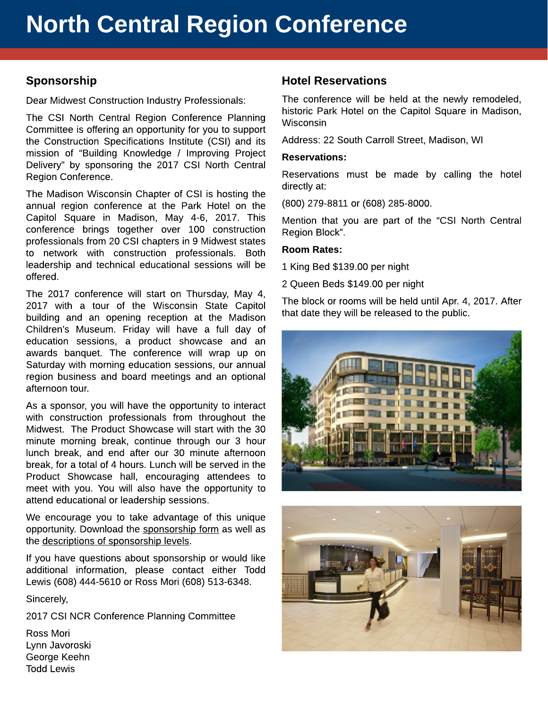#### Sponsorship

Dear Midwest Construction Industry Professionals:

The CSI North Central Region Conference Planning Committee is offering an opportunity for you to support the Construction Specifications Institute (CSI) and its mission of "Building Knowledge / Improving Project Delivery? by sponsoring the 2017 CSI North Central Region Conference.

The Madison Wisconsin Chapter of CSI is hosting the annual region conference at the Park Hotel on the Capitol Square in Madison, May 4-6, 2017. This conference brings together over 100 construction professionals from 20 CSI chapters in 9 Midwest states to network with construction professionals. Both leadership and technical educational sessions will be offered.

The 2017 conference will start on Thursday, May 4, 2017 with a tour of the Wisconsin State Capitol building and an opening reception at the Madison Children?s Museum. Friday will have a full day of education sessions, a product showcase and an awards banquet. The conference will wrap up on Saturday with morning education sessions, our annual region business and board meetings and an optional afternoon tour.

As a sponsor, you will have the opportunity to interact with construction professionals from throughout the Midwest. The Product Showcase will start with the 30 minute morning break, continue through our 3 hour lunch break, and end after our 30 minute afternoon break, for a total of 4 hours. Lunch will be served in the Product Showcase hall, encouraging attendees to meet with you. You will also have the opportunity to attend educational or leadership sessions.

We encourage you to take advantage of this unique opportunity. Download the [sponsorship](http://ncr.csinet.org/Menu/News/NCR-Conference/Sponsorship-Form.xls) [form](http://ncr.csinet.org/Menu/News/NCR-Conference/Sponsorship-Form.xls) as well as the [descriptions](http://ncr.csinet.org/Menu/News/NCR-Conference/Sponsorship-Information.pdf) [of](http://ncr.csinet.org/Menu/News/NCR-Conference/Sponsorship-Information.pdf) [sponsorship](http://ncr.csinet.org/Menu/News/NCR-Conference/Sponsorship-Information.pdf) [levels.](http://ncr.csinet.org/Menu/News/NCR-Conference/Sponsorship-Information.pdf)

If you have questions about sponsorship or would like additional information, please contact either Todd Lewis (608) 444-5610 or Ross Mori (608) 513-6348.

Sincerely,

2017 CSI NCR Conference Planning Committee

Ross Mori Lynn Javoroski George Keehn Todd Lewis

#### Hotel Reservations

The conference will be held at the newly remodeled, historic Park Hotel on the Capitol Square in Madison, Wisconsin

Address: 22 South Carroll Street, Madison, WI

#### Reservations:

Reservations must be made by calling the hotel directly at:

(800) 279-8811 or (608) 285-8000.

Mention that you are part of the "CSI North Central Region Block?.

#### Room Rates:

1 King Bed \$139.00 per night

2 Queen Beds \$149.00 per night

The block or rooms will be held until Apr. 4, 2017. After that date they will be released to the public.



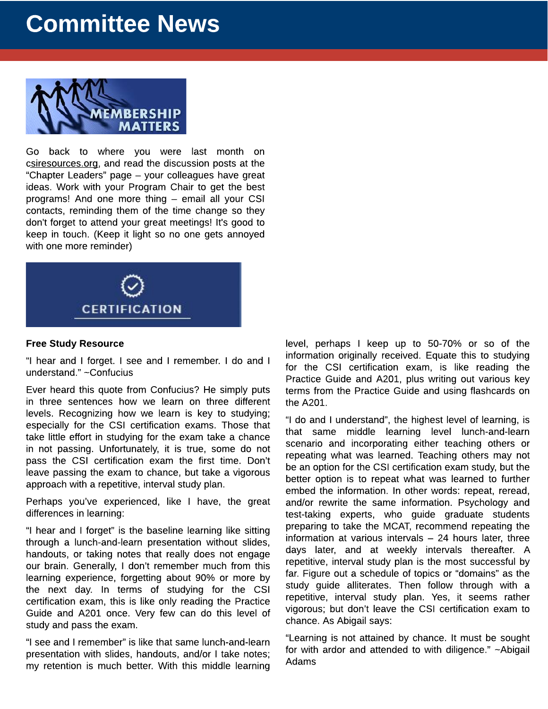# Committee News



Go back to where you were last month on [csiresources.org,](http://www.csiresources.org) and read the discussion posts at the "Chapter Leaders" page - your colleagues have great ideas. Work with your Program Chair to get the best programs! And one more thing - email all your CSI contacts, reminding them of the time change so they don't forget to attend your great meetings! It's good to keep in touch. (Keep it light so no one gets annoyed with one more reminder)



#### Free Study Resource

?I hear and I forget. I see and I remember. I do and I understand." ~Confucius

Ever heard this quote from Confucius? He simply puts in three sentences how we learn on three different levels. Recognizing how we learn is key to studying; especially for the CSI certification exams. Those that take little effort in studying for the exam take a chance in not passing. Unfortunately, it is true, some do not pass the CSI certification exam the first time. Don't leave passing the exam to chance, but take a vigorous approach with a repetitive, interval study plan.

Perhaps you've experienced, like I have, the great differences in learning:

?I hear and I forget? is the baseline learning like sitting through a lunch-and-learn presentation without slides, handouts, or taking notes that really does not engage our brain. Generally, I don't remember much from this learning experience, forgetting about 90% or more by the next day. In terms of studying for the CSI certification exam, this is like only reading the Practice Guide and A201 once. Very few can do this level of study and pass the exam.

"I see and I remember" is like that same lunch-and-learn presentation with slides, handouts, and/or I take notes; my retention is much better. With this middle learning level, perhaps I keep up to 50-70% or so of the information originally received. Equate this to studying for the CSI certification exam, is like reading the Practice Guide and A201, plus writing out various key terms from the Practice Guide and using flashcards on the A201.

?I do and I understand?, the highest level of learning, is that same middle learning level lunch-and-learn scenario and incorporating either teaching others or repeating what was learned. Teaching others may not be an option for the CSI certification exam study, but the better option is to repeat what was learned to further embed the information. In other words: repeat, reread, and/or rewrite the same information. Psychology and test-taking experts, who guide graduate students preparing to take the MCAT, recommend repeating the information at various intervals  $-24$  hours later, three days later, and at weekly intervals thereafter. A repetitive, interval study plan is the most successful by far. Figure out a schedule of topics or "domains" as the study guide alliterates. Then follow through with a repetitive, interval study plan. Yes, it seems rather vigorous; but don?t leave the CSI certification exam to chance. As Abigail says:

?Learning is not attained by chance. It must be sought for with ardor and attended to with diligence." ~Abigail Adams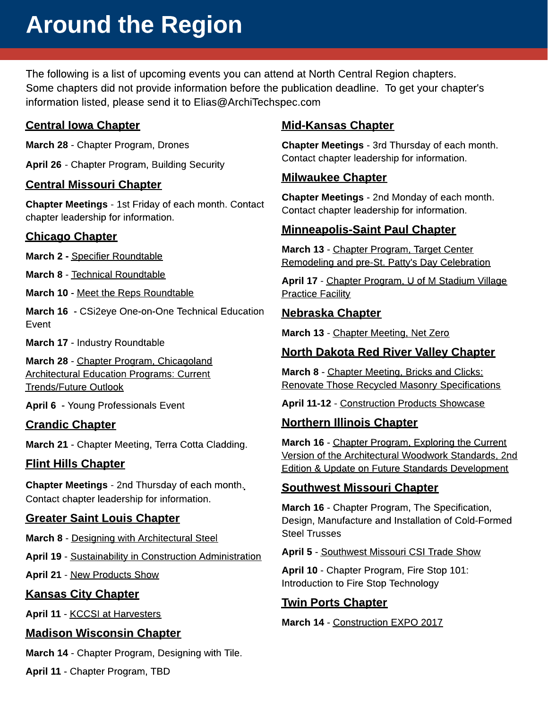# Around the Region

The following is a list of upcoming events you can attend at North Central Region chapters. Some chapters did not provide information before the publication deadline. To get your chapter's information listed, please send it to [Elias@ArchiTechspec.com](mailto:elias@ArchiTechspec.com)

#### Central Iowa Chapter

March 28 - Chapter Program, Drones

April 26 - Chapter Program, Building Security

#### Central Missouri Chapter

Chapter Meetings - 1st Friday of each month. Contact chapter leadership for information.

#### Chicago Chapter

March 2 - [Specifier](http://chicago.csinet.org/Main-Menu/Chicago-Calendar/FY2017-Events/March-2-Specifier-Roundtable-Thermal-Degradation-of-Continuous-Insulation-in-Facade-Support-Systems.pdf) [Roundtable](http://chicago.csinet.org/Main-Menu/Chicago-Calendar/FY2017-Events/March-2-Specifier-Roundtable-Thermal-Degradation-of-Continuous-Insulation-in-Facade-Support-Systems.pdf)

March 8 - [Technical](http://chicago.csinet.org/Main-Menu/Chicago-Calendar/FY2017-Events/Mar-8-Technical-Roundtable-Ozinga-Concrete-Plant-Tour-and-Roundtable-Presentation.pdf) [Roundtable](http://chicago.csinet.org/Main-Menu/Chicago-Calendar/FY2017-Events/Mar-8-Technical-Roundtable-Ozinga-Concrete-Plant-Tour-and-Roundtable-Presentation.pdf)

March 10 - [Meet](http://chicago.csinet.org/Main-Menu/Chicago-Calendar/FY2017-Events/Mar-10-Meet-the-Reps-Roundtable-High-Performance-Windows.txt) [the](http://chicago.csinet.org/Main-Menu/Chicago-Calendar/FY2017-Events/Mar-10-Meet-the-Reps-Roundtable-High-Performance-Windows.txt) [Reps](http://chicago.csinet.org/Main-Menu/Chicago-Calendar/FY2017-Events/Mar-10-Meet-the-Reps-Roundtable-High-Performance-Windows.txt) [Roundtable](http://chicago.csinet.org/Main-Menu/Chicago-Calendar/FY2017-Events/Mar-10-Meet-the-Reps-Roundtable-High-Performance-Windows.txt)

March 16 - [CSi2eye](http://chicago.csinet.org/csi2eye) [One-on-One](http://chicago.csinet.org/csi2eye) [Technical](http://chicago.csinet.org/csi2eye) [Education](http://chicago.csinet.org/csi2eye) [Event](http://chicago.csinet.org/csi2eye)

March 17 - Industry Roundtable

March 28 - [Chapter](http://chicago.csinet.org/Main-Menu/Chicago-Calendar/FY2017-Events/Mar-28-Chapter-Program-Chicagoland-Architectural-Education-Programs-Current-Trends-Future-Outl.pdf) [Program,](http://chicago.csinet.org/Main-Menu/Chicago-Calendar/FY2017-Events/Mar-28-Chapter-Program-Chicagoland-Architectural-Education-Programs-Current-Trends-Future-Outl.pdf) [Chicagoland](http://chicago.csinet.org/Main-Menu/Chicago-Calendar/FY2017-Events/Mar-28-Chapter-Program-Chicagoland-Architectural-Education-Programs-Current-Trends-Future-Outl.pdf) [Architectural](http://chicago.csinet.org/Main-Menu/Chicago-Calendar/FY2017-Events/Mar-28-Chapter-Program-Chicagoland-Architectural-Education-Programs-Current-Trends-Future-Outl.pdf) [Education](http://chicago.csinet.org/Main-Menu/Chicago-Calendar/FY2017-Events/Mar-28-Chapter-Program-Chicagoland-Architectural-Education-Programs-Current-Trends-Future-Outl.pdf) [Programs:](http://chicago.csinet.org/Main-Menu/Chicago-Calendar/FY2017-Events/Mar-28-Chapter-Program-Chicagoland-Architectural-Education-Programs-Current-Trends-Future-Outl.pdf) [Current](http://chicago.csinet.org/Main-Menu/Chicago-Calendar/FY2017-Events/Mar-28-Chapter-Program-Chicagoland-Architectural-Education-Programs-Current-Trends-Future-Outl.pdf) [Trends/Future](http://chicago.csinet.org/Main-Menu/Chicago-Calendar/FY2017-Events/Mar-28-Chapter-Program-Chicagoland-Architectural-Education-Programs-Current-Trends-Future-Outl.pdf) [Outlook](http://chicago.csinet.org/Main-Menu/Chicago-Calendar/FY2017-Events/Mar-28-Chapter-Program-Chicagoland-Architectural-Education-Programs-Current-Trends-Future-Outl.pdf)

April 6 - Young Professionals Event

#### Crandic Chapter

March 21 - Chapter Meeting, Terra Cotta Cladding.

#### Flint Hills Chapter

Chapter Meetings - 2nd Thursday of each month. Contact chapter leadership for information.

#### Greater Saint Louis Chapter

March 8 - [Designing](http://stlouiscsi.org/meetinginfo.php?id=15&ts=1481728013) [with](http://stlouiscsi.org/meetinginfo.php?id=15&ts=1481728013) [Architectural](http://stlouiscsi.org/meetinginfo.php?id=15&ts=1481728013) [Steel](http://stlouiscsi.org/meetinginfo.php?id=15&ts=1481728013)

April 19 - [Sustainability](http://stlouiscsi.org/meetinginfo.php?id=16&ts=1483115787) [in](http://stlouiscsi.org/meetinginfo.php?id=16&ts=1483115787) [Construction](http://stlouiscsi.org/meetinginfo.php?id=16&ts=1483115787) [Administration](http://stlouiscsi.org/meetinginfo.php?id=16&ts=1483115787)

April 21 - [New](http://stlouiscsi.org/meetinginfo.php?id=19) [Products](http://stlouiscsi.org/meetinginfo.php?id=19) [Show](http://stlouiscsi.org/meetinginfo.php?id=19)

#### Kansas City Chapter

April 11 - [KCCSI](https://tockify.com/kcchapter/detail/16/1491944400000) [at](https://tockify.com/kcchapter/detail/16/1491944400000) [Harvesters](https://tockify.com/kcchapter/detail/16/1491944400000)

#### Madison Wisconsin Chapter

March 14 - Chapter Program, Designing with Tile.

April 11 - Chapter Program, TBD

#### Mid-Kansas Chapter

Chapter Meetings - 3rd Thursday of each month. Contact chapter leadership for information.

#### Milwaukee Chapter

Chapter Meetings - 2nd Monday of each month. Contact chapter leadership for information.

#### Minneapolis-Saint Paul Chapter

March 13 - [Chapter](http://csi-msp.org/meetinginfo.php?id=133&ts=1469565434) [Program,](http://csi-msp.org/meetinginfo.php?id=133&ts=1469565434) [Target](http://csi-msp.org/meetinginfo.php?id=133&ts=1469565434) [Center](http://csi-msp.org/meetinginfo.php?id=133&ts=1469565434) [Remodeling](http://csi-msp.org/meetinginfo.php?id=133&ts=1469565434) [and](http://csi-msp.org/meetinginfo.php?id=133&ts=1469565434) [pre-St.](http://csi-msp.org/meetinginfo.php?id=133&ts=1469565434) [Patty's](http://csi-msp.org/meetinginfo.php?id=133&ts=1469565434) [Day](http://csi-msp.org/meetinginfo.php?id=133&ts=1469565434) [Celebration](http://csi-msp.org/meetinginfo.php?id=133&ts=1469565434)

April 17 - [Chapter](http://csi-msp.org/meetinginfo.php?id=134) [Program,](http://csi-msp.org/meetinginfo.php?id=134) [U](http://csi-msp.org/meetinginfo.php?id=134) [of](http://csi-msp.org/meetinginfo.php?id=134) [M](http://csi-msp.org/meetinginfo.php?id=134) [Stadium](http://csi-msp.org/meetinginfo.php?id=134) [Village](http://csi-msp.org/meetinginfo.php?id=134) [Practice](http://csi-msp.org/meetinginfo.php?id=134) [Facility](http://csi-msp.org/meetinginfo.php?id=134)

#### Nebraska Chapter

March 13 - [Chapter](http://www.csinebraska.org/calendar/icalrepeat.detail/2017/03/13/205/-/chapter-meeting) [Meeting,](http://www.csinebraska.org/calendar/icalrepeat.detail/2017/03/13/205/-/chapter-meeting) [Net](http://www.csinebraska.org/calendar/icalrepeat.detail/2017/03/13/205/-/chapter-meeting) [Zero](http://www.csinebraska.org/calendar/icalrepeat.detail/2017/03/13/205/-/chapter-meeting)

#### North Dakota Red River Valley Chapter

March 8 - [Chapter](http://ncr.csinet.org/Copy%20of%20sp/Event-PDFs/February-2017/March-Chapter-Meeting.pdf) [Meeting,](http://ncr.csinet.org/Copy%20of%20sp/Event-PDFs/February-2017/March-Chapter-Meeting.pdf) [Bricks](http://ncr.csinet.org/Copy%20of%20sp/Event-PDFs/February-2017/March-Chapter-Meeting.pdf) [and](http://ncr.csinet.org/Copy%20of%20sp/Event-PDFs/February-2017/March-Chapter-Meeting.pdf) [Clicks:](http://ncr.csinet.org/Copy%20of%20sp/Event-PDFs/February-2017/March-Chapter-Meeting.pdf) [Renovate](http://ncr.csinet.org/Copy%20of%20sp/Event-PDFs/February-2017/March-Chapter-Meeting.pdf) [Those](http://ncr.csinet.org/Copy%20of%20sp/Event-PDFs/February-2017/March-Chapter-Meeting.pdf) [Recycled](http://ncr.csinet.org/Copy%20of%20sp/Event-PDFs/February-2017/March-Chapter-Meeting.pdf) [Masonry](http://ncr.csinet.org/Copy%20of%20sp/Event-PDFs/February-2017/March-Chapter-Meeting.pdf) [Specifications](http://ncr.csinet.org/Copy%20of%20sp/Event-PDFs/February-2017/March-Chapter-Meeting.pdf)

April 11-12 - [Construction](http://ncr.csinet.org/Copy of sp/Event-PDFs/February-2017/RRV-Product-Showcase.pdf) [Products](http://ncr.csinet.org/Copy of sp/Event-PDFs/February-2017/RRV-Product-Showcase.pdf) [Showcase](http://ncr.csinet.org/Copy of sp/Event-PDFs/February-2017/RRV-Product-Showcase.pdf)

#### Northern Illinois Chapter

March 16 - [Chapter](http://files.constantcontact.com/d05e3261201/2c042744-11b9-4c43-80ba-69203f68f643.pdf) [Program,](http://files.constantcontact.com/d05e3261201/2c042744-11b9-4c43-80ba-69203f68f643.pdf) [Exploring](http://files.constantcontact.com/d05e3261201/2c042744-11b9-4c43-80ba-69203f68f643.pdf) [the](http://files.constantcontact.com/d05e3261201/2c042744-11b9-4c43-80ba-69203f68f643.pdf) [Current](http://files.constantcontact.com/d05e3261201/2c042744-11b9-4c43-80ba-69203f68f643.pdf) [Version](http://files.constantcontact.com/d05e3261201/2c042744-11b9-4c43-80ba-69203f68f643.pdf) [of](http://files.constantcontact.com/d05e3261201/2c042744-11b9-4c43-80ba-69203f68f643.pdf) [the](http://files.constantcontact.com/d05e3261201/2c042744-11b9-4c43-80ba-69203f68f643.pdf) [Architectural](http://files.constantcontact.com/d05e3261201/2c042744-11b9-4c43-80ba-69203f68f643.pdf) [Woodwork](http://files.constantcontact.com/d05e3261201/2c042744-11b9-4c43-80ba-69203f68f643.pdf) [Standards,](http://files.constantcontact.com/d05e3261201/2c042744-11b9-4c43-80ba-69203f68f643.pdf) [2nd](http://files.constantcontact.com/d05e3261201/2c042744-11b9-4c43-80ba-69203f68f643.pdf) [Edition](http://files.constantcontact.com/d05e3261201/2c042744-11b9-4c43-80ba-69203f68f643.pdf) [&](http://files.constantcontact.com/d05e3261201/2c042744-11b9-4c43-80ba-69203f68f643.pdf) [Update](http://files.constantcontact.com/d05e3261201/2c042744-11b9-4c43-80ba-69203f68f643.pdf) [on](http://files.constantcontact.com/d05e3261201/2c042744-11b9-4c43-80ba-69203f68f643.pdf) [Future](http://files.constantcontact.com/d05e3261201/2c042744-11b9-4c43-80ba-69203f68f643.pdf) [Standards](http://files.constantcontact.com/d05e3261201/2c042744-11b9-4c43-80ba-69203f68f643.pdf) [Development](http://files.constantcontact.com/d05e3261201/2c042744-11b9-4c43-80ba-69203f68f643.pdf)

#### Southwest Missouri Chapter

March 16 - [Chapter](http://ncr.csinet.org/Copy%20of%20sp/Event-PDFs/February-2017/SWMO-Upcoming.pdf) [Program,](http://ncr.csinet.org/Copy%20of%20sp/Event-PDFs/February-2017/SWMO-Upcoming.pdf) [The](http://ncr.csinet.org/Copy%20of%20sp/Event-PDFs/February-2017/SWMO-Upcoming.pdf) [Specification,](http://ncr.csinet.org/Copy%20of%20sp/Event-PDFs/February-2017/SWMO-Upcoming.pdf) [Design,](http://ncr.csinet.org/Copy%20of%20sp/Event-PDFs/February-2017/SWMO-Upcoming.pdf) [Manufacture](http://ncr.csinet.org/Copy%20of%20sp/Event-PDFs/February-2017/SWMO-Upcoming.pdf) [and](http://ncr.csinet.org/Copy%20of%20sp/Event-PDFs/February-2017/SWMO-Upcoming.pdf) [Installation](http://ncr.csinet.org/Copy%20of%20sp/Event-PDFs/February-2017/SWMO-Upcoming.pdf) [of](http://ncr.csinet.org/Copy%20of%20sp/Event-PDFs/February-2017/SWMO-Upcoming.pdf) [Cold-Formed](http://ncr.csinet.org/Copy%20of%20sp/Event-PDFs/February-2017/SWMO-Upcoming.pdf) [Steel](http://ncr.csinet.org/Copy%20of%20sp/Event-PDFs/February-2017/SWMO-Upcoming.pdf) [Trusses](http://ncr.csinet.org/Copy%20of%20sp/Event-PDFs/February-2017/SWMO-Upcoming.pdf)

#### April 5 - [Southwest](http://swmo.csinet.org/Copy%20of%20sp/CSI-SWMO-2014-Tradeshow.html) [Missouri](http://swmo.csinet.org/Copy%20of%20sp/CSI-SWMO-2014-Tradeshow.html) [CSI](http://swmo.csinet.org/Copy%20of%20sp/CSI-SWMO-2014-Tradeshow.html) [Trade](http://swmo.csinet.org/Copy%20of%20sp/CSI-SWMO-2014-Tradeshow.html) [Show](http://swmo.csinet.org/Copy%20of%20sp/CSI-SWMO-2014-Tradeshow.html)

April 10 - Chapter Program, Fire Stop 101: Introduction to Fire Stop Technology

#### Twin Ports Chapter

March 14 - [Construction](http://ncr.csinet.org/Copy of sp/Event-PDFs/February-2017/Twin-Ports-Expo.pdf) [EXPO](http://ncr.csinet.org/Copy of sp/Event-PDFs/February-2017/Twin-Ports-Expo.pdf) [2017](http://ncr.csinet.org/Copy of sp/Event-PDFs/February-2017/Twin-Ports-Expo.pdf)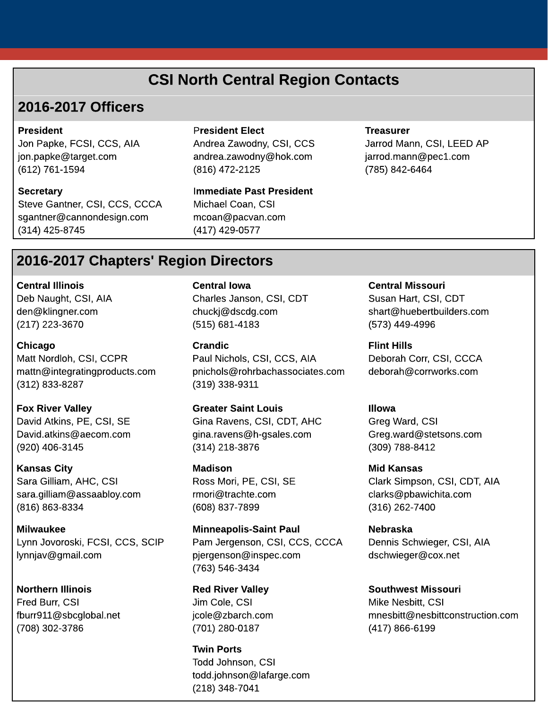# CSI North Central Region Contacts

### 2016-2017 Officers

#### President

Jon Papke, FCSI, CCS, AIA [jon.papke@target.com](mailto:jon.papke@target.com) (612) 761-1594

**Secretary** 

Steve Gantner, CSI, CCS, CCCA [sgantner@cannondesign.com](mailto:sgantner@cannondesign.com) (314) 425-8745

#### President Elect

Andrea Zawodny, CSI, CCS [andrea.zawodny@hok.com](mailto:andrea.zawodny@hok.com) (816) 472-2125

Immediate Past President Michael Coan, CSI [mcoan@pacvan.com](mailto:mcoan@pacvacn.com) (417) 429-0577

#### **Treasurer**

Jarrod Mann, CSI, LEED AP [jarrod.mann@pec1.com](mailto:jerrod.mann@pec1.com) (785) 842-6464

# 2016-2017 Chapters' Region Directors

Central Illinois Deb Naught, CSI, AIA den@klingner.com (217) 223-3670

Chicago Matt Nordloh, CSI, CCPR [mattn@integratingproducts.com](mailto:mattn@integratingproducts.com) (312) 833-8287

Fox River Valley David Atkins, PE, CSI, SE [David.atkins@aecom.com](mailto:David.atkins@aecom.com) (920) 406-3145

Kansas City Sara Gilliam, AHC, CSI [sara.gilliam@assaabloy.com](mailto:sara.gilliam@assaabloy.com) (816) 863-8334

Milwaukee Lynn Jovoroski, FCSI, CCS, SCIP [lynnjav@gmail.com](mailto:lynnjav@gmail.com)

Northern Illinois Fred Burr, CSI [fburr911@sbcglobal.net](mailto:fburr911@sbcglobal.net) (708) 302-3786

Central Iowa Charles Janson, CSI, CDT chuckj@dscdg.com (515) 681-4183

Crandic Paul Nichols, CSI, CCS, AIA [pnichols@rohrbachassociates.com](mailto:pnichols@rohrbachassociates.com) (319) 338-9311

Greater Saint Louis Gina Ravens, CSI, CDT, AHC [gina.ravens@h-gsales.com](mailto:gina.ravens@h-gsales.com) (314) 218-3876

Madison Ross Mori, PE, CSI, SE [rmori@trachte.com](mailto:rmori@trachte.com) (608) 837-7899

Minneapolis-Saint Paul Pam Jergenson, CSI, CCS, CCCA [pjergenson@inspec.com](mailto:pjergenson@inspec.com) (763) 546-3434

Red River Valley Jim Cole, CSI [jcole@zbarch.com](mailto:jcole@zbarch.com) (701) 280-0187

Twin Ports Todd Johnson, CSI [todd.johnson@lafarge.com](mailto:todd.johnson@lafarge.com) (218) 348-7041

Central Missouri

Susan Hart, CSI, CDT shart@huebertbuilders.com (573) 449-4996

Flint Hills Deborah Corr, CSI, CCCA [deborah@corrworks.com](mailto:deborah@corrworks.com)

Illowa Greg Ward, CSI [Greg.ward@stetsons.com](mailto:Greg.ward@stetsons.com) (309) 788-8412

Mid Kansas Clark Simpson, CSI, CDT, AIA [clarks@pbawichita.com](mailto:clarks@pbawichita.com) (316) 262-7400

Nebraska Dennis Schwieger, CSI, AIA [dschwieger@cox.net](mailto:dschwieger@cox.net)

Southwest Missouri Mike Nesbitt, CSI [mnesbitt@nesbittconstruction.com](mailto:mnesbitt@nesbittconstruction.com) (417) 866-6199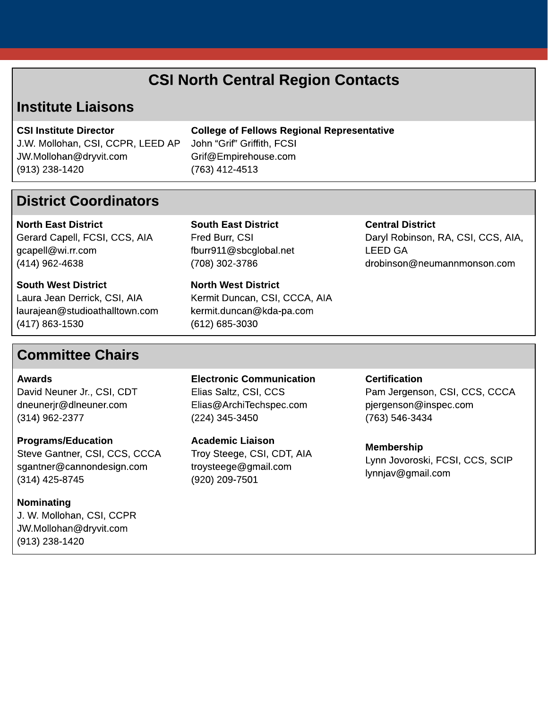# CSI North Central Region Contacts

## Institute Liaisons

CSI Institute Director J.W. Mollohan, CSI, CCPR, LEED AP [JW.Mollohan@dryvit.com](mailto:JW.Mollohan@dryvit.com) (913) 238-1420

College of Fellows Regional Representative John "Grif" Griffith, FCSI [Grif@Empirehouse.com](mailto:Grif@Empirehouse.com) (763) 412-4513

### District Coordinators

North East District Gerard Capell, FCSI, CCS, AIA [gcapell@wi.rr.com](mailto:gcapell@wi.rr.com) (414) 962-4638

South West District Laura Jean Derrick, CSI, AIA [laurajean@studioathalltown.com](mailto:laurajean@studioathalltown.com) (417) 863-1530

#### South East District Fred Burr, CSI [fburr911@sbcglobal.net](mailto:fburr911@sbcglobal.net) (708) 302-3786

North West District Kermit Duncan, CSI, CCCA, AIA [kermit.duncan@kda-pa.com](mailto:kermit.duncan@kda-pa.com) (612) 685-3030

#### Central District Daryl Robinson, RA, CSI, CCS, AIA, LEED GA [drobinson@neumannmonson.com](mailto:drobinson@neumannmonson.com)

## Committee Chairs

Awards David Neuner Jr., CSI, CDT [dneunerjr@dlneuner.com](mailto:dneunerjr@dlneuner.com) (314) 962-2377

Programs/Education Steve Gantner, CSI, CCS, CCCA [sgantner@cannondesign.com](mailto:sgantner@cannondesign.com) (314) 425-8745

Nominating J. W. Mollohan, CSI, CCPR [JW.Mollohan@dryvit.com](mailto:JW.Mollohan@dryvit.com) (913) 238-1420

Electronic Communication Elias Saltz, CSI, CCS [Elias@ArchiTechspec.com](mailto:esaltz@esadesign.com) (224) 345-3450

Academic Liaison Troy Steege, CSI, CDT, AIA [troysteege@gmail.com](mailto:troysteege@gmail.com) (920) 209-7501

**Certification** Pam Jergenson, CSI, CCS, CCCA [pjergenson@inspec.com](mailto:pjergenson@inspec.com) (763) 546-3434

Membership Lynn Jovoroski, FCSI, CCS, SCIP l[ynnjav@gmail.com](mailto:lynnjav@gmail.com)